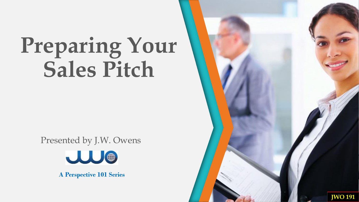Presented by J.W. Owens



**A Perspective 101 Series**

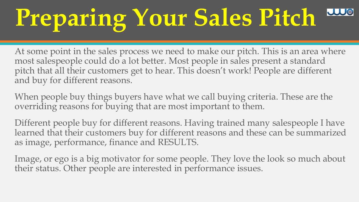At some point in the sales process we need to make our pitch. This is an area where most salespeople could do a lot better. Most people in sales present a standard pitch that all their customers get to hear. This doesn't work! People are different and buy for different reasons.

When people buy things buyers have what we call buying criteria. These are the overriding reasons for buying that are most important to them.

Different people buy for different reasons. Having trained many salespeople I have learned that their customers buy for different reasons and these can be summarized as image, performance, finance and RESULTS.

Image, or ego is a big motivator for some people. They love the look so much about their status. Other people are interested in performance issues.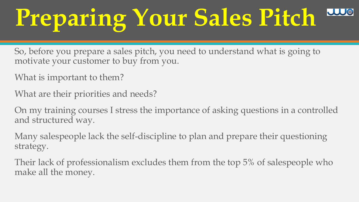So, before you prepare a sales pitch, you need to understand what is going to motivate your customer to buy from you.

- What is important to them?
- What are their priorities and needs?

On my training courses I stress the importance of asking questions in a controlled and structured way.

Many salespeople lack the self-discipline to plan and prepare their questioning strategy.

Their lack of professionalism excludes them from the top 5% of salespeople who make all the money.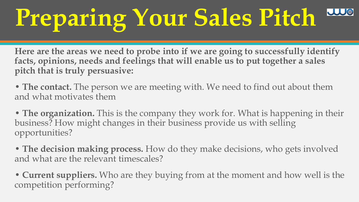**Here are the areas we need to probe into if we are going to successfully identify facts, opinions, needs and feelings that will enable us to put together a sales pitch that is truly persuasive:** 

• **The contact.** The person we are meeting with. We need to find out about them and what motivates them

• **The organization.** This is the company they work for. What is happening in their business? How might changes in their business provide us with selling opportunities?

• **The decision making process.** How do they make decisions, who gets involved and what are the relevant timescales?

• **Current suppliers.** Who are they buying from at the moment and how well is the competition performing?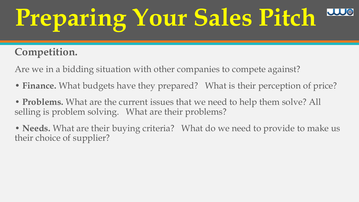#### **Competition.**

Are we in a bidding situation with other companies to compete against?

- **Finance.** What budgets have they prepared? What is their perception of price?
- **Problems.** What are the current issues that we need to help them solve? All selling is problem solving. What are their problems?
- **Needs.** What are their buying criteria? What do we need to provide to make us their choice of supplier?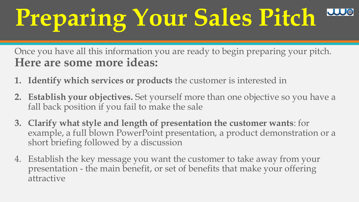Once you have all this information you are ready to begin preparing your pitch. **Here are some more ideas:** 

- **1. Identify which services or products** the customer is interested in
- **2. Establish your objectives.** Set yourself more than one objective so you have a fall back position if you fail to make the sale
- **3. Clarify what style and length of presentation the customer wants**: for example, a full blown PowerPoint presentation, a product demonstration or a short briefing followed by a discussion
- 4. Establish the key message you want the customer to take away from your presentation - the main benefit, or set of benefits that make your offering attractive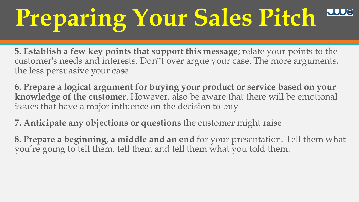**5. Establish a few key points that support this message**; relate your points to the customer's needs and interests. Don"t over argue your case. The more arguments, the less persuasive your case

**6. Prepare a logical argument for buying your product or service based on your knowledge of the customer**. However, also be aware that there will be emotional issues that have a major influence on the decision to buy

**7. Anticipate any objections or questions** the customer might raise

**8. Prepare a beginning, a middle and an end** for your presentation. Tell them what you're going to tell them, tell them and tell them what you told them.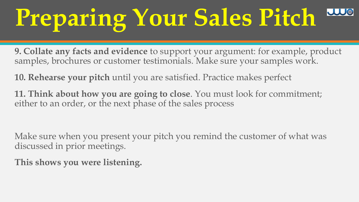**9. Collate any facts and evidence** to support your argument: for example, product samples, brochures or customer testimonials. Make sure your samples work.

**10. Rehearse your pitch** until you are satisfied. Practice makes perfect

**11. Think about how you are going to close**. You must look for commitment; either to an order, or the next phase of the sales process

Make sure when you present your pitch you remind the customer of what was discussed in prior meetings.

**This shows you were listening.**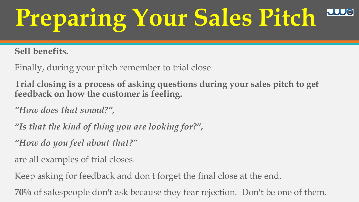**Sell benefits.** 

Finally, during your pitch remember to trial close.

**Trial closing is a process of asking questions during your sales pitch to get feedback on how the customer is feeling.** 

*"How does that sound?",* 

*"Is that the kind of thing you are looking for?",* 

*"How do you feel about that?"*

are all examples of trial closes.

Keep asking for feedback and don't forget the final close at the end.

**70%** of salespeople don't ask because they fear rejection. Don't be one of them.